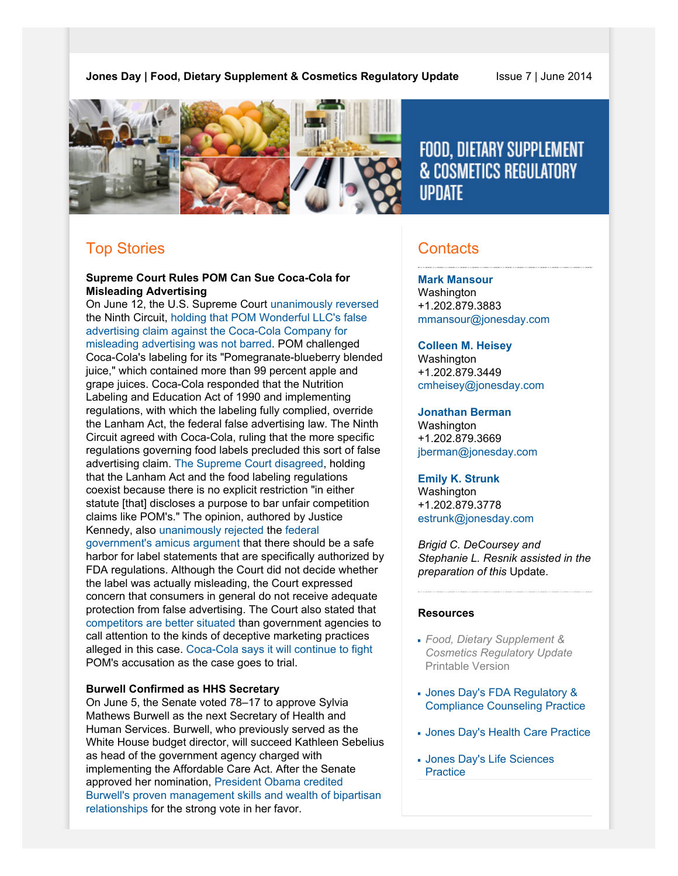# **Jones Day | Food, Dietary Supplement & Cosmetics Regulatory Update** Issue 7 | June 2014



FOOD, DIETARY SUPPLEMENT **& COSMETICS REGULATORY IIPDATE** 

# Top Stories

# **Supreme Court Rules POM Can Sue Coca-Cola for Misleading Advertising**

On June 12, the U.S. Supreme Court [unanimously reversed](http://www.supremecourt.gov/opinions/13pdf/12-761_6k47.pdf) the Ninth Circuit, [holding that POM Wonderful LLC's false](http://www.nytimes.com/2014/06/13/business/supreme-court-says-coca-cola-can-be-sued-by-Pom-Wonderful.html?_r=1) [advertising claim against the Coca-Cola Company for](http://www.nytimes.com/2014/06/13/business/supreme-court-says-coca-cola-can-be-sued-by-Pom-Wonderful.html?_r=1) [misleading advertising was not barred](http://www.nytimes.com/2014/06/13/business/supreme-court-says-coca-cola-can-be-sued-by-Pom-Wonderful.html?_r=1). POM challenged Coca-Cola's labeling for its "Pomegranate-blueberry blended juice," which contained more than 99 percent apple and grape juices. Coca-Cola responded that the Nutrition Labeling and Education Act of 1990 and implementing regulations, with which the labeling fully complied, override the Lanham Act, the federal false advertising law. The Ninth Circuit agreed with Coca-Cola, ruling that the more specific regulations governing food labels precluded this sort of false advertising claim. [The Supreme Court disagreed](http://online.wsj.com/articles/supreme-court-allows-false-advertising-suit-against-coca-cola-1402582954), holding that the Lanham Act and the food labeling regulations coexist because there is no explicit restriction "in either statute [that] discloses a purpose to bar unfair competition claims like POM's." The opinion, authored by Justice Kennedy, also [unanimously rejected](http://www.bloombergview.com/articles/2014-06-12/supreme-court-laps-up-pom-wonderful-s-case) the [federal](http://sblog.s3.amazonaws.com/wp-content/uploads/2014/03/12-761tsacUnitedStates.pdf) [government's amicus argument](http://sblog.s3.amazonaws.com/wp-content/uploads/2014/03/12-761tsacUnitedStates.pdf) that there should be a safe harbor for label statements that are specifically authorized by FDA regulations. Although the Court did not decide whether the label was actually misleading, the Court expressed concern that consumers in general do not receive adequate protection from false advertising. The Court also stated that [competitors are better situated](http://www.nytimes.com/2014/06/13/business/supreme-court-says-coca-cola-can-be-sued-by-Pom-Wonderful.html) than government agencies to call attention to the kinds of deceptive marketing practices alleged in this case. [Coca-Cola says it will continue to fight](http://online.wsj.com/articles/supreme-court-allows-false-advertising-suit-against-coca-cola-1402582954) POM's accusation as the case goes to trial.

# **Burwell Confirmed as HHS Secretary**

On June 5, the Senate voted 78–17 to approve Sylvia Mathews Burwell as the next Secretary of Health and Human Services. Burwell, who previously served as the White House budget director, will succeed Kathleen Sebelius as head of the government agency charged with implementing the Affordable Care Act. After the Senate approved her nomination, [President Obama credited](http://www.washingtonpost.com/national/health-science/senate-poised-to-confirm-burwell-as-new-secretary-of-hhs/2014/06/05/bbd79400-ec06-11e3-9f5c-9075d5508f0a_story.html) [Burwell's proven management skills and wealth of bipartisan](http://www.washingtonpost.com/national/health-science/senate-poised-to-confirm-burwell-as-new-secretary-of-hhs/2014/06/05/bbd79400-ec06-11e3-9f5c-9075d5508f0a_story.html) [relationships](http://www.washingtonpost.com/national/health-science/senate-poised-to-confirm-burwell-as-new-secretary-of-hhs/2014/06/05/bbd79400-ec06-11e3-9f5c-9075d5508f0a_story.html) for the strong vote in her favor.

# **Contacts**

**[Mark Mansour](http://www.jonesday.com/mmansour)** Washington +1.202.879.3883 [mmansour@jonesday.com](mailto:mmansour@jonesday.com)

**[Colleen M. Heisey](http://www.jonesday.com/cmheisey)** Washington +1.202.879.3449 [cmheisey@jonesday.com](mailto:cmheisey@jonesday.com)

#### **[Jonathan Berman](http://www.jonesday.com/jberman)**

Washington +1.202.879.3669 [jberman@jonesday.com](mailto:jberman@jonesday.com)

#### **[Emily K. Strunk](http://www.jonesday.com/estrunk)**

Washington +1.202.879.3778 [estrunk@jonesday.com](mailto:estrunk@jonesday.com)

*Brigid C. DeCoursey and Stephanie L. Resnik assisted in the preparation of this* Update.

#### **Resources**

- *Food, Dietary Supplement & Cosmetics Regulatory Update* Printable Version
- [Jones Day's FDA Regulatory &](http://www.jonesday.com/fdaregulatoryandcompliancecounseling) [Compliance Counseling Practice](http://www.jonesday.com/fdaregulatoryandcompliancecounseling)
- [Jones Day's Health Care Practice](http://www.jonesday.com/health-care-practices/)
- [Jones Day's Life Sciences](http://www.jonesday.com/lifesciences/) **[Practice](http://www.jonesday.com/lifesciences/)**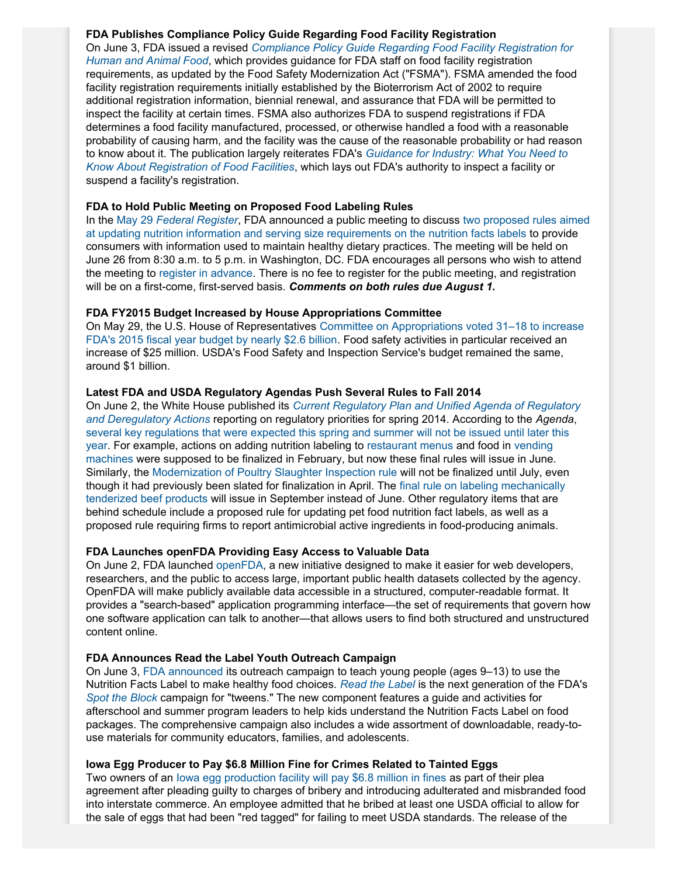# **FDA Publishes Compliance Policy Guide Regarding Food Facility Registration**

On June 3, FDA issued a revised *[Compliance Policy Guide Regarding Food Facility Registration for](http://www.fda.gov/downloads/ICECI/ComplianceManuals/CompliancePolicyGuidanceManual/UCM399369.pdf) [Human and Animal Food](http://www.fda.gov/downloads/ICECI/ComplianceManuals/CompliancePolicyGuidanceManual/UCM399369.pdf)*, which provides guidance for FDA staff on food facility registration requirements, as updated by the Food Safety Modernization Act ("FSMA"). FSMA amended the food facility registration requirements initially established by the Bioterrorism Act of 2002 to require additional registration information, biennial renewal, and assurance that FDA will be permitted to inspect the facility at certain times. FSMA also authorizes FDA to suspend registrations if FDA determines a food facility manufactured, processed, or otherwise handled a food with a reasonable probability of causing harm, and the facility was the cause of the reasonable probability or had reason to know about it. The publication largely reiterates FDA's *[Guidance for Industry: What You Need to](http://www.fda.gov/Food/GuidanceRegulation/GuidanceDocumentsRegulatoryInformation/ucm331957.htm) [Know About Registration of Food Facilities](http://www.fda.gov/Food/GuidanceRegulation/GuidanceDocumentsRegulatoryInformation/ucm331957.htm)*, which lays out FDA's authority to inspect a facility or suspend a facility's registration.

# **FDA to Hold Public Meeting on Proposed Food Labeling Rules**

In the May 29 *[Federal Register](http://www.gpo.gov/fdsys/pkg/FR-2014-05-29/pdf/2014-12362.pdf)*, FDA announced a public meeting to discuss [two proposed rules aimed](http://www.jonesday.com/fda-proposes-far-reaching-changes-to-nutrition-facts-panel-02-28-2014/) [at updating nutrition information and serving size requirements on the nutrition facts labels](http://www.jonesday.com/fda-proposes-far-reaching-changes-to-nutrition-facts-panel-02-28-2014/) to provide consumers with information used to maintain healthy dietary practices. The meeting will be held on June 26 from 8:30 a.m. to 5 p.m. in Washington, DC. FDA encourages all persons who wish to attend the meeting to [register in advance](http://www.fda.gov/Food/NewsEvents/WorkshopsMeetingsConferences/default.htm). There is no fee to register for the public meeting, and registration will be on a first-come, first-served basis. *Comments on both rules due August 1.*

# **FDA FY2015 Budget Increased by House Appropriations Committee**

On May 29, the U.S. House of Representatives [Committee on Appropriations voted 31–18 to increase](http://www.agri-pulse.com/Washington-Week-Ahead-Focus-on-agriculture-spending-bill-05272014.asp) [FDA's 2015 fiscal year budget by nearly \\$2.6 billion.](http://www.agri-pulse.com/Washington-Week-Ahead-Focus-on-agriculture-spending-bill-05272014.asp) Food safety activities in particular received an increase of \$25 million. USDA's Food Safety and Inspection Service's budget remained the same, around \$1 billion.

# **Latest FDA and USDA Regulatory Agendas Push Several Rules to Fall 2014**

On June 2, the White House published its *[Current Regulatory Plan and Unified Agenda of Regulatory](http://www.reginfo.gov/public/do/eAgendaMain) [and Deregulatory Actions](http://www.reginfo.gov/public/do/eAgendaMain)* reporting on regulatory priorities for spring 2014. According to the *Agenda*, [several key regulations that were expected this spring and summer will not be issued until later this](http://www.foodsafetynews.com/2014/06/white-house-releases-spring-2014-regulatory-plan/#.U5W7afnD_WJ) [year](http://www.foodsafetynews.com/2014/06/white-house-releases-spring-2014-regulatory-plan/#.U5W7afnD_WJ). For example, actions on adding nutrition labeling to [restaurant menus](http://www.gpo.gov/fdsys/pkg/FR-2011-04-06/pdf/2011-7940.pdf#page=2) and food in [vending](http://www.gpo.gov/fdsys/pkg/FR-2011-04-06/pdf/2011-8037.pdf#page=1) [machines](http://www.gpo.gov/fdsys/pkg/FR-2011-04-06/pdf/2011-8037.pdf#page=1) were supposed to be finalized in February, but now these final rules will issue in June. Similarly, the [Modernization of Poultry Slaughter Inspection rule](http://www.gpo.gov/fdsys/pkg/FR-2012-04-26/pdf/2012-10111.pdf#page=1) will not be finalized until July, even though it had previously been slated for finalization in April. The [final rule on labeling mechanically](http://www.gpo.gov/fdsys/pkg/FR-2013-12-03/pdf/2013-28840.pdf#page=1) [tenderized beef products](http://www.gpo.gov/fdsys/pkg/FR-2013-12-03/pdf/2013-28840.pdf#page=1) will issue in September instead of June. Other regulatory items that are behind schedule include a proposed rule for updating pet food nutrition fact labels, as well as a proposed rule requiring firms to report antimicrobial active ingredients in food-producing animals.

# **FDA Launches openFDA Providing Easy Access to Valuable Data**

On June 2, FDA launched [openFDA,](http://open.fda.gov/) a new initiative designed to make it easier for web developers, researchers, and the public to access large, important public health datasets collected by the agency. OpenFDA will make publicly available data accessible in a structured, computer-readable format. It provides a "search-based" application programming interface—the set of requirements that govern how one software application can talk to another—that allows users to find both structured and unstructured content online.

# **FDA Announces Read the Label Youth Outreach Campaign**

On June 3, [FDA announced](http://www.fda.gov/Food/NewsEvents/ConstituentUpdates/ucm399670.htm) its outreach campaign to teach young people (ages 9–13) to use the Nutrition Facts Label to make healthy food choices. *[Read the Label](http://www.fda.gov/Food/IngredientsPackagingLabeling/LabelingNutrition/ucm281746.htm)* is the next generation of the FDA's *[Spot the Block](http://www.cartoonnetwork.com/promos/201004_fda/flashpage.html)* campaign for "tweens." The new component features a guide and activities for afterschool and summer program leaders to help kids understand the Nutrition Facts Label on food packages. The comprehensive campaign also includes a wide assortment of downloadable, ready-touse materials for community educators, families, and adolescents.

# **Iowa Egg Producer to Pay \$6.8 Million Fine for Crimes Related to Tainted Eggs**

Two owners of an [Iowa egg production facility will pay \\$6.8 million in fines](http://www.nytimes.com/2014/06/03/business/quality-egg-to-pay-fine-for-selling-tainted-eggs.html?_r=0) as part of their plea agreement after pleading guilty to charges of bribery and introducing adulterated and misbranded food into interstate commerce. An employee admitted that he bribed at least one USDA official to allow for the sale of eggs that had been "red tagged" for failing to meet USDA standards. The release of the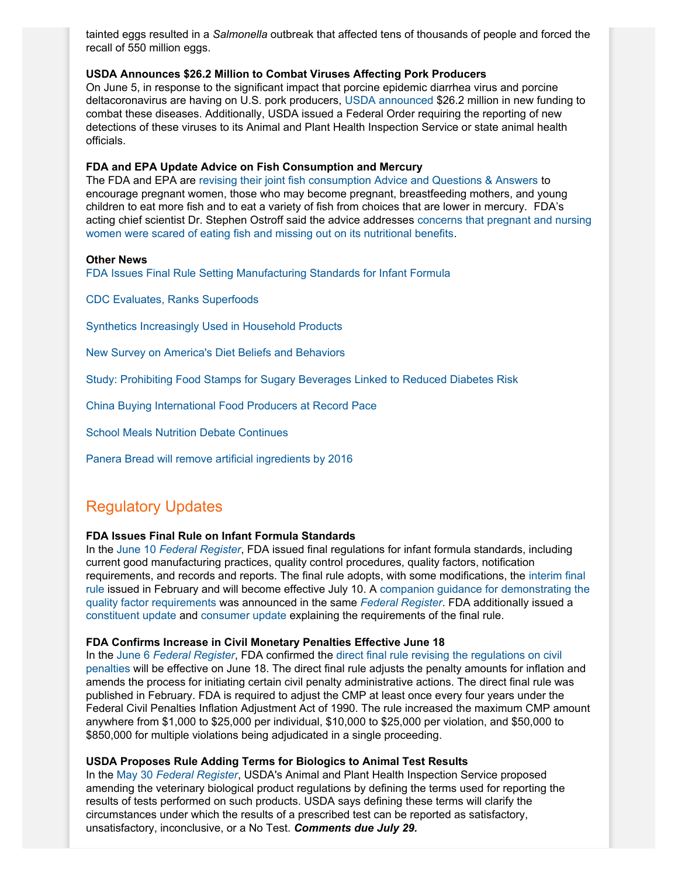tainted eggs resulted in a *Salmonella* outbreak that affected tens of thousands of people and forced the recall of 550 million eggs.

### **USDA Announces \$26.2 Million to Combat Viruses Affecting Pork Producers**

On June 5, in response to the significant impact that porcine epidemic diarrhea virus and porcine deltacoronavirus are having on U.S. pork producers, [USDA announced](http://www.aphis.usda.gov/animal-health/secd) \$26.2 million in new funding to combat these diseases. Additionally, USDA issued a Federal Order requiring the reporting of new detections of these viruses to its Animal and Plant Health Inspection Service or state animal health officials.

### **FDA and EPA Update Advice on Fish Consumption and Mercury**

The FDA and EPA are [revising their joint fish consumption Advice and Questions & Answers](http://www.fda.gov/Food/FoodborneIllnessContaminants/Metals/ucm393070.htm) to encourage pregnant women, those who may become pregnant, breastfeeding mothers, and young children to eat more fish and to eat a variety of fish from choices that are lower in mercury. FDA's acting chief scientist Dr. Stephen Ostroff said the advice addresses [concerns that pregnant and nursing](http://well.blogs.nytimes.com/2014/06/10/updated-advice-on-eating-fish-during-pregnancy/?_php=true&_type=blogs&hpw&rref=health&_r=0) [women were scared of eating fish and missing out on its nutritional benefits](http://well.blogs.nytimes.com/2014/06/10/updated-advice-on-eating-fish-during-pregnancy/?_php=true&_type=blogs&hpw&rref=health&_r=0).

#### **Other News**

[FDA Issues Final Rule Setting Manufacturing Standards for Infant Formula](http://www.fda.gov/Food/NewsEvents/ConstituentUpdates/ucm400182.htm)

[CDC Evaluates, Ranks Superfoods](http://www.cdc.gov/pcd/issues/2014/pdf/13_0390.pdf)

[Synthetics Increasingly Used in Household Products](http://www.nytimes.com/2014/05/31/business/biofuel-tools-applied-to-household-soaps.html?emc=edit_th_20140531&nl=todaysheadlines&nlid=58849930&_r=0)

[New Survey on America's Diet Beliefs and Behaviors](http://www.foodinsight.org/LinkClick.aspx?fileticket=462LEcknBKw%3d&tabid=1492)

[Study: Prohibiting Food Stamps for Sugary Beverages Linked to Reduced Diabetes Risk](http://www.latimes.com/science/la-sci-food-stamps-diets-obesity-20140603-story.html)

[China Buying International Food Producers at Record Pace](http://www.ft.com/cms/s/0/4a1490fe-ed67-11e3-8a1e-00144feabdc0.html#slide0)

[School Meals Nutrition Debate Continues](http://www.economist.com/blogs/democracyinamerica/2014/06/school-meals)

[Panera Bread will remove artificial ingredients by 2016](http://abcnews.go.com/Business/wireStory/panera-swears-off-artificial-ingredients-23968719)

# Regulatory Updates

# **FDA Issues Final Rule on Infant Formula Standards**

In the June 10 *[Federal Register](http://www.gpo.gov/fdsys/pkg/FR-2014-06-10/pdf/2014-13384.pdf)*, FDA issued final regulations for infant formula standards, including current good manufacturing practices, quality control procedures, quality factors, notification requirements, and records and reports. The final rule adopts, with some modifications, the [interim final](http://www.gpo.gov/fdsys/pkg/FR-2014-02-10/pdf/2014-02148.pdf) [rule](http://www.gpo.gov/fdsys/pkg/FR-2014-02-10/pdf/2014-02148.pdf) issued in February and will become effective July 10. A [companion guidance for demonstrating the](http://www.fda.gov/Food/GuidanceRegulation/GuidanceDocumentsRegulatoryInformation/ucm400036.htm) [quality factor requirements](http://www.fda.gov/Food/GuidanceRegulation/GuidanceDocumentsRegulatoryInformation/ucm400036.htm) was announced in the same *[Federal Register](http://www.gpo.gov/fdsys/pkg/FR-2014-06-10/pdf/2014-13386.pdf)*. FDA additionally issued a [constituent update](http://www.fda.gov/Food/NewsEvents/ConstituentUpdates/ucm400182.htm) and [consumer update](http://www.fda.gov/ForConsumers/ConsumerUpdates/ucm048694.htm) explaining the requirements of the final rule.

#### **FDA Confirms Increase in Civil Monetary Penalties Effective June 18**

In the June 6 *[Federal Register](http://www.gpo.gov/fdsys/pkg/FR-2014-06-06/pdf/2014-13165.pdf)*, FDA confirmed the [direct final rule revising the regulations on civil](http://www.gpo.gov/fdsys/pkg/FR-2014-02-03/pdf/2014-02150.pdf) [penalties](http://www.gpo.gov/fdsys/pkg/FR-2014-02-03/pdf/2014-02150.pdf) will be effective on June 18. The direct final rule adjusts the penalty amounts for inflation and amends the process for initiating certain civil penalty administrative actions. The direct final rule was published in February. FDA is required to adjust the CMP at least once every four years under the Federal Civil Penalties Inflation Adjustment Act of 1990. The rule increased the maximum CMP amount anywhere from \$1,000 to \$25,000 per individual, \$10,000 to \$25,000 per violation, and \$50,000 to \$850,000 for multiple violations being adjudicated in a single proceeding.

### **USDA Proposes Rule Adding Terms for Biologics to Animal Test Results**

In the May 30 *[Federal Register](http://www.gpo.gov/fdsys/pkg/FR-2014-05-30/pdf/2014-12551.pdf)*, USDA's Animal and Plant Health Inspection Service proposed amending the veterinary biological product regulations by defining the terms used for reporting the results of tests performed on such products. USDA says defining these terms will clarify the circumstances under which the results of a prescribed test can be reported as satisfactory, unsatisfactory, inconclusive, or a No Test. *Comments due July 29.*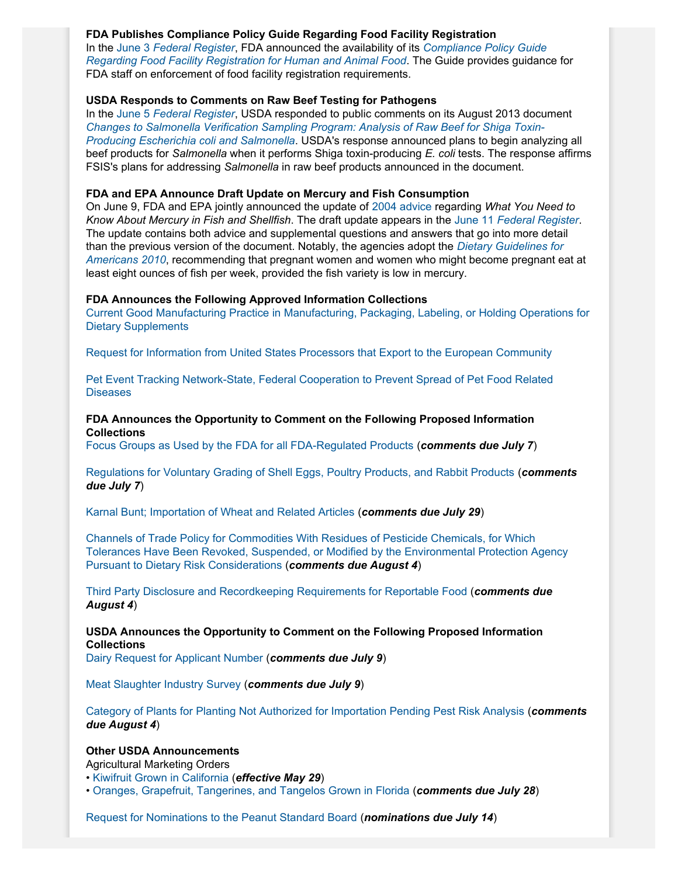# **FDA Publishes Compliance Policy Guide Regarding Food Facility Registration**

In the June 3 *[Federal Register](http://www.gpo.gov/fdsys/pkg/FR-2014-06-03/pdf/2014-12786.pdf)*, FDA announced the availability of its *[Compliance Policy Guide](http://www.fda.gov/downloads/ICECI/ComplianceManuals/CompliancePolicyGuidanceManual/UCM399369.pdf) [Regarding Food Facility Registration for Human and Animal Food](http://www.fda.gov/downloads/ICECI/ComplianceManuals/CompliancePolicyGuidanceManual/UCM399369.pdf)*. The Guide provides guidance for FDA staff on enforcement of food facility registration requirements.

# **USDA Responds to Comments on Raw Beef Testing for Pathogens**

In the June 5 *[Federal Register](http://www.gpo.gov/fdsys/pkg/FR-2014-06-05/pdf/2014-13064.pdf)*, USDA responded to public comments on its August 2013 document *[Changes to Salmonella Verification Sampling Program: Analysis of Raw Beef for Shiga Toxin-](http://www.fsis.usda.gov/wps/wcm/connect/d6372360-f296-43c7-bc79-bbdd29441cf7/2012-0038.htm?MOD=AJPERES)[Producing Escherichia coli and Salmonella](http://www.fsis.usda.gov/wps/wcm/connect/d6372360-f296-43c7-bc79-bbdd29441cf7/2012-0038.htm?MOD=AJPERES)*. USDA's response announced plans to begin analyzing all beef products for *Salmonella* when it performs Shiga toxin-producing *E. coli* tests. The response affirms FSIS's plans for addressing *Salmonella* in raw beef products announced in the document.

### **FDA and EPA Announce Draft Update on Mercury and Fish Consumption**

On June 9, FDA and EPA jointly announced the update of [2004 advice](http://www.fda.gov/food/resourcesforyou/consumers/ucm110591.htm) regarding *What You Need to Know About Mercury in Fish and Shellfish*. The draft update appears in the June 11 *[Federal Register](http://www.gpo.gov/fdsys/pkg/FR-2014-06-11/pdf/2014-13584.pdf)*. The update contains both advice and supplemental questions and answers that go into more detail than the previous version of the document. Notably, the agencies adopt the *[Dietary Guidelines for](http://www.health.gov/dietaryguidelines/dga2010/dietaryguidelines2010.pdf) [Americans 2010](http://www.health.gov/dietaryguidelines/dga2010/dietaryguidelines2010.pdf)*, recommending that pregnant women and women who might become pregnant eat at least eight ounces of fish per week, provided the fish variety is low in mercury.

### **FDA Announces the Following Approved Information Collections**

[Current Good Manufacturing Practice in Manufacturing, Packaging, Labeling, or Holding Operations for](http://www.gpo.gov/fdsys/pkg/FR-2014-05-28/pdf/2014-12293.pdf) [Dietary Supplements](http://www.gpo.gov/fdsys/pkg/FR-2014-05-28/pdf/2014-12293.pdf)

[Request for Information from United States Processors that Export to the European Community](http://www.gpo.gov/fdsys/pkg/FR-2014-06-03/pdf/2014-12816.pdf)

[Pet Event Tracking Network-State, Federal Cooperation to Prevent Spread of Pet Food Related](http://www.gpo.gov/fdsys/pkg/FR-2014-06-03/pdf/2014-12813.pdf) **[Diseases](http://www.gpo.gov/fdsys/pkg/FR-2014-06-03/pdf/2014-12813.pdf)** 

# **FDA Announces the Opportunity to Comment on the Following Proposed Information Collections**

[Focus Groups as Used by the FDA for all FDA-Regulated Products](http://www.gpo.gov/fdsys/pkg/FR-2014-06-05/pdf/2014-13016.pdf) (*comments due July 7*)

[Regulations for Voluntary Grading of Shell Eggs, Poultry Products, and Rabbit Products](http://www.gpo.gov/fdsys/pkg/FR-2014-06-04/pdf/2014-12896.pdf) (*comments due July 7*)

[Karnal Bunt; Importation of Wheat and Related Articles](http://www.gpo.gov/fdsys/pkg/FR-2014-05-30/pdf/2014-12549.pdf) (*comments due July 29*)

[Channels of Trade Policy for Commodities With Residues of Pesticide Chemicals, for Which](http://www.gpo.gov/fdsys/pkg/FR-2014-06-03/pdf/2014-12819.pdf) [Tolerances Have Been Revoked, Suspended, or Modified by the Environmental Protection Agency](http://www.gpo.gov/fdsys/pkg/FR-2014-06-03/pdf/2014-12819.pdf) [Pursuant to Dietary Risk Considerations](http://www.gpo.gov/fdsys/pkg/FR-2014-06-03/pdf/2014-12819.pdf) (*comments due August 4*)

[Third Party Disclosure and Recordkeeping Requirements for Reportable Food](http://www.gpo.gov/fdsys/pkg/FR-2014-06-03/pdf/2014-12823.pdf) (*comments due August 4*)

**USDA Announces the Opportunity to Comment on the Following Proposed Information Collections**

[Dairy Request for Applicant Number](http://www.gpo.gov/fdsys/pkg/FR-2014-06-09/pdf/2014-13287.pdf) (*comments due July 9*)

[Meat Slaughter Industry Survey](http://www.gpo.gov/fdsys/pkg/FR-2014-06-09/pdf/2014-13390.pdf) (*comments due July 9*)

[Category of Plants for Planting Not Authorized for Importation Pending Pest Risk Analysis](http://www.gpo.gov/fdsys/pkg/FR-2014-06-05/pdf/2014-13009.pdf) (*comments due August 4*)

# **Other USDA Announcements**

Agricultural Marketing Orders

- [Kiwifruit Grown in California](http://www.gpo.gov/fdsys/pkg/FR-2014-05-28/pdf/2014-12327.pdf) (*effective May 29*)
- [Oranges, Grapefruit, Tangerines, and Tangelos Grown in Florida](http://www.gpo.gov/fdsys/pkg/FR-2014-05-28/pdf/2014-12287.pdf) (*comments due July 28*)

[Request for Nominations to the Peanut Standard Board](http://www.gpo.gov/fdsys/pkg/FR-2014-05-28/pdf/2014-12320.pdf) (*nominations due July 14*)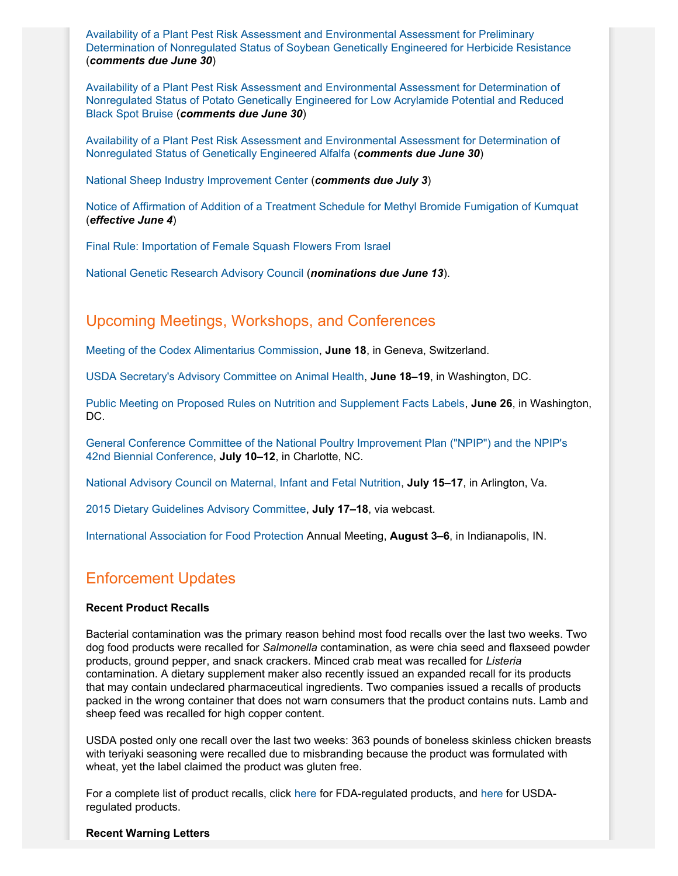[Availability of a Plant Pest Risk Assessment and Environmental Assessment for Preliminary](http://www.gpo.gov/fdsys/pkg/FR-2014-05-30/pdf/2014-12554.pdf) [Determination of Nonregulated Status of Soybean Genetically Engineered for Herbicide Resistance](http://www.gpo.gov/fdsys/pkg/FR-2014-05-30/pdf/2014-12554.pdf) (*comments due June 30*)

[Availability of a Plant Pest Risk Assessment and Environmental Assessment for Determination of](http://www.gpo.gov/fdsys/pkg/FR-2014-05-30/pdf/2014-12555.pdf) [Nonregulated Status of Potato Genetically Engineered for Low Acrylamide Potential and Reduced](http://www.gpo.gov/fdsys/pkg/FR-2014-05-30/pdf/2014-12555.pdf) [Black Spot Bruise](http://www.gpo.gov/fdsys/pkg/FR-2014-05-30/pdf/2014-12555.pdf) (*comments due June 30*)

[Availability of a Plant Pest Risk Assessment and Environmental Assessment for Determination of](http://www.gpo.gov/fdsys/pkg/FR-2014-05-30/pdf/2014-12553.pdf) [Nonregulated Status of Genetically Engineered Alfalfa](http://www.gpo.gov/fdsys/pkg/FR-2014-05-30/pdf/2014-12553.pdf) (*comments due June 30*)

[National Sheep Industry Improvement Center](http://www.gpo.gov/fdsys/pkg/FR-2014-06-03/pdf/2014-12589.pdf) (*comments due July 3*)

[Notice of Affirmation of Addition of a Treatment Schedule for Methyl Bromide Fumigation of Kumquat](http://www.gpo.gov/fdsys/pkg/FR-2014-06-04/pdf/2014-12897.pdf) (*effective June 4*)

[Final Rule: Importation of Female Squash Flowers From Israel](http://www.gpo.gov/fdsys/pkg/FR-2014-06-05/pdf/2014-13007.pdf)

[National Genetic Research Advisory Council](http://www.gpo.gov/fdsys/pkg/FR-2014-06-06/pdf/2014-13206.pdf) (*nominations due June 13*).

# Upcoming Meetings, Workshops, and Conferences

[Meeting of the Codex Alimentarius Commission](http://www.gpo.gov/fdsys/pkg/FR-2014-04-30/pdf/2014-09859.pdf), **June 18**, in Geneva, Switzerland.

[USDA Secretary's Advisory Committee on Animal Health](http://www.gpo.gov/fdsys/pkg/FR-2014-05-16/pdf/2014-11275.pdf), **June 18–19**, in Washington, DC.

[Public Meeting on Proposed Rules on Nutrition and Supplement Facts Labels](http://www.gpo.gov/fdsys/pkg/FR-2014-05-29/pdf/2014-12362.pdf), **June 26**, in Washington, DC.

[General Conference Committee of the National Poultry Improvement Plan \("NPIP"\) and the NPIP's](http://www.gpo.gov/fdsys/pkg/FR-2014-04-08/pdf/2014-07847.pdf) [42nd Biennial Conference,](http://www.gpo.gov/fdsys/pkg/FR-2014-04-08/pdf/2014-07847.pdf) **July 10–12**, in Charlotte, NC.

[National Advisory Council on Maternal, Infant and Fetal Nutrition](http://www.gpo.gov/fdsys/pkg/FR-2014-06-09/pdf/2014-13285.pdf), **July 15–17**, in Arlington, Va.

[2015 Dietary Guidelines Advisory Committee,](http://www.gpo.gov/fdsys/pkg/FR-2014-05-23/pdf/2014-12010.pdf) **July 17–18**, via webcast.

[International Association for Food Protection](http://www.foodprotection.org/annualmeeting/) Annual Meeting, **August 3–6**, in Indianapolis, IN.

# Enforcement Updates

# **Recent Product Recalls**

Bacterial contamination was the primary reason behind most food recalls over the last two weeks. Two dog food products were recalled for *Salmonella* contamination, as were chia seed and flaxseed powder products, ground pepper, and snack crackers. Minced crab meat was recalled for *Listeria* contamination. A dietary supplement maker also recently issued an expanded recall for its products that may contain undeclared pharmaceutical ingredients. Two companies issued a recalls of products packed in the wrong container that does not warn consumers that the product contains nuts. Lamb and sheep feed was recalled for high copper content.

USDA posted only one recall over the last two weeks: 363 pounds of boneless skinless chicken breasts with teriyaki seasoning were recalled due to misbranding because the product was formulated with wheat, yet the label claimed the product was gluten free.

For a complete list of product recalls, click [here](http://www.fda.gov/safety/recalls/) for FDA-regulated products, and [here](http://www.fsis.usda.gov/wps/portal/fsis/topics/recalls-and-public-health-alerts/current-recalls-and-alerts) for USDAregulated products.

#### **Recent Warning Letters**